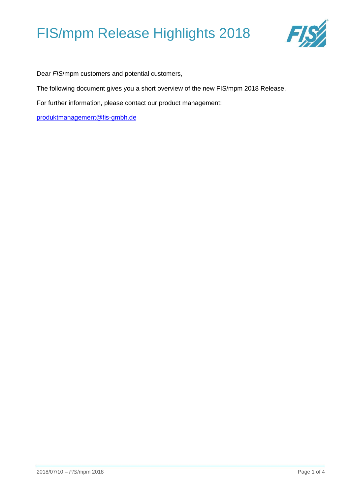

Dear *FIS*/mpm customers and potential customers,

The following document gives you a short overview of the new FIS/mpm 2018 Release.

For further information, please contact our product management:

[produktmanagement@fis-gmbh.de](mailto:produktmanagement@fis-gmbh.de)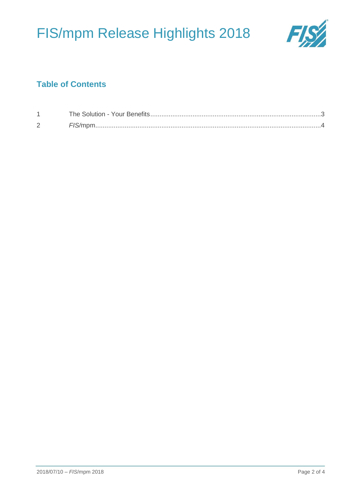

### **Table of Contents**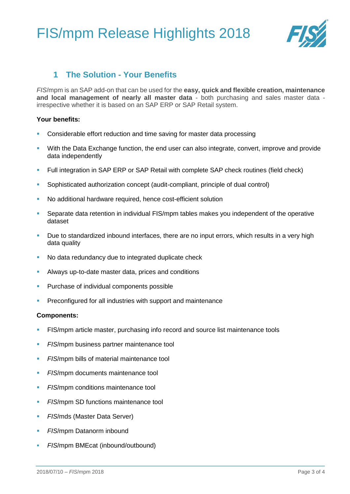

### **1 The Solution - Your Benefits**

<span id="page-2-0"></span>*FIS*/mpm is an SAP add-on that can be used for the **easy, quick and flexible creation, maintenance and local management of nearly all master data** - both purchasing and sales master data irrespective whether it is based on an SAP ERP or SAP Retail system.

### **Your benefits:**

- Considerable effort reduction and time saving for master data processing
- With the Data Exchange function, the end user can also integrate, convert, improve and provide data independently
- **EXECT** Full integration in SAP ERP or SAP Retail with complete SAP check routines (field check)
- Sophisticated authorization concept (audit-compliant, principle of dual control)
- No additional hardware required, hence cost-efficient solution
- **•** Separate data retention in individual FIS/mpm tables makes you independent of the operative dataset
- Due to standardized inbound interfaces, there are no input errors, which results in a very high data quality
- No data redundancy due to integrated duplicate check
- Always up-to-date master data, prices and conditions
- Purchase of individual components possible
- **Preconfigured for all industries with support and maintenance**

### **Components:**

- **EXALLET FIS/mpm article master, purchasing info record and source list maintenance tools**
- **EIS/mpm business partner maintenance tool**
- **EXA** *FIS*/mpm bills of material maintenance tool
- **EXA** *FIS*/mpm documents maintenance tool
- **FIS/mpm conditions maintenance tool**
- *FIS*/mpm SD functions maintenance tool
- *FIS*/mds (Master Data Server)
- *FIS*/mpm Datanorm inbound
- *FIS*/mpm BMEcat (inbound/outbound)